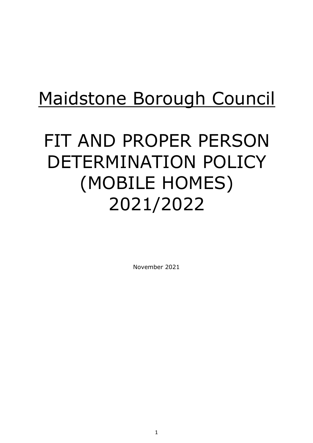# Maidstone Borough Council

# FIT AND PROPER PERSON DETERMINATION POLICY (MOBILE HOMES) 2021/2022

November 2021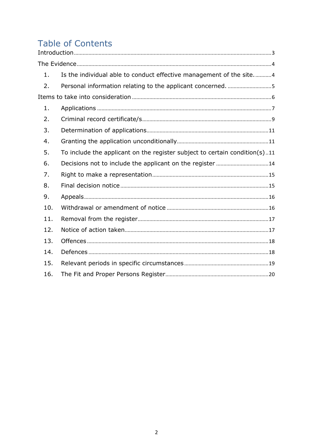# Table of Contents

| 1.  | Is the individual able to conduct effective management of the site4        |  |
|-----|----------------------------------------------------------------------------|--|
| 2.  | Personal information relating to the applicant concerned. 5                |  |
|     |                                                                            |  |
| 1.  |                                                                            |  |
| 2.  |                                                                            |  |
| 3.  |                                                                            |  |
| 4.  |                                                                            |  |
| 5.  | To include the applicant on the register subject to certain condition(s)11 |  |
| 6.  |                                                                            |  |
| 7.  |                                                                            |  |
| 8.  |                                                                            |  |
| 9.  |                                                                            |  |
| 10. |                                                                            |  |
| 11. |                                                                            |  |
| 12. |                                                                            |  |
| 13. |                                                                            |  |
| 14. |                                                                            |  |
| 15. |                                                                            |  |
| 16. |                                                                            |  |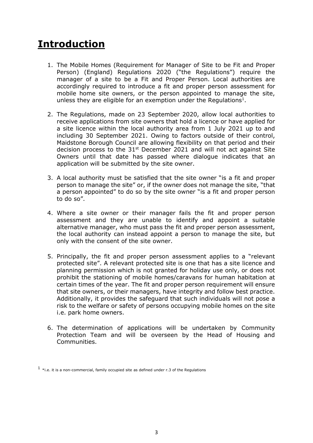## <span id="page-2-0"></span>**Introduction**

- 1. The Mobile Homes (Requirement for Manager of Site to be Fit and Proper Person) (England) Regulations 2020 ("the Regulations") require the manager of a site to be a Fit and Proper Person. Local authorities are accordingly required to introduce a fit and proper person assessment for mobile home site owners, or the person appointed to manage the site, unless they are eligible for an exemption under the Regulations<sup>1</sup>.
- 2. The Regulations, made on 23 September 2020, allow local authorities to receive applications from site owners that hold a licence or have applied for a site licence within the local authority area from 1 July 2021 up to and including 30 September 2021. Owing to factors outside of their control, Maidstone Borough Council are allowing flexibility on that period and their decision process to the  $31<sup>st</sup>$  December 2021 and will not act against Site Owners until that date has passed where dialogue indicates that an application will be submitted by the site owner.
- 3. A local authority must be satisfied that the site owner "is a fit and proper person to manage the site" or, if the owner does not manage the site, "that a person appointed" to do so by the site owner "is a fit and proper person to do so".
- 4. Where a site owner or their manager fails the fit and proper person assessment and they are unable to identify and appoint a suitable alternative manager, who must pass the fit and proper person assessment, the local authority can instead appoint a person to manage the site, but only with the consent of the site owner.
- 5. Principally, the fit and proper person assessment applies to a "relevant protected site". A relevant protected site is one that has a site licence and planning permission which is not granted for holiday use only, or does not prohibit the stationing of mobile homes/caravans for human habitation at certain times of the year. The fit and proper person requirement will ensure that site owners, or their managers, have integrity and follow best practice. Additionally, it provides the safeguard that such individuals will not pose a risk to the welfare or safety of persons occupying mobile homes on the site i.e. park home owners.
- 6. The determination of applications will be undertaken by Community Protection Team and will be overseen by the Head of Housing and Communities.

 $^1$  \*i.e. it is a non-commercial, family occupied site as defined under r.3 of the Regulations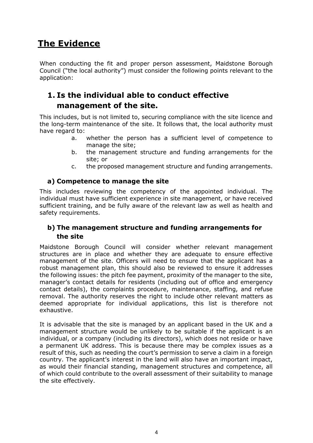## <span id="page-3-0"></span>**The Evidence**

When conducting the fit and proper person assessment, Maidstone Borough Council ("the local authority") must consider the following points relevant to the application:

## <span id="page-3-1"></span>**1. Is the individual able to conduct effective management of the site.**

This includes, but is not limited to, securing compliance with the site licence and the long-term maintenance of the site. It follows that, the local authority must have regard to:

- a. whether the person has a sufficient level of competence to manage the site;
- b. the management structure and funding arrangements for the site; or
- c. the proposed management structure and funding arrangements.

#### **a) Competence to manage the site**

This includes reviewing the competency of the appointed individual. The individual must have sufficient experience in site management, or have received sufficient training, and be fully aware of the relevant law as well as health and safety requirements.

#### **b) The management structure and funding arrangements for the site**

Maidstone Borough Council will consider whether relevant management structures are in place and whether they are adequate to ensure effective management of the site. Officers will need to ensure that the applicant has a robust management plan, this should also be reviewed to ensure it addresses the following issues: the pitch fee payment, proximity of the manager to the site, manager's contact details for residents (including out of office and emergency contact details), the complaints procedure, maintenance, staffing, and refuse removal. The authority reserves the right to include other relevant matters as deemed appropriate for individual applications, this list is therefore not exhaustive.

It is advisable that the site is managed by an applicant based in the UK and a management structure would be unlikely to be suitable if the applicant is an individual, or a company (including its directors), which does not reside or have a permanent UK address. This is because there may be complex issues as a result of this, such as needing the court's permission to serve a claim in a foreign country. The applicant's interest in the land will also have an important impact, as would their financial standing, management structures and competence, all of which could contribute to the overall assessment of their suitability to manage the site effectively.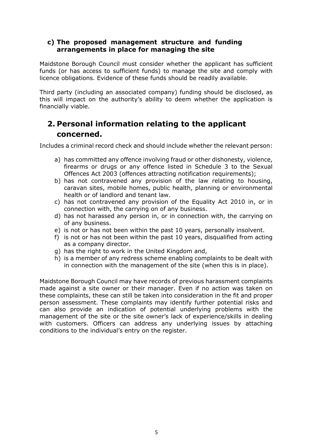#### **c) The proposed management structure and funding arrangements in place for managing the site**

Maidstone Borough Council must consider whether the applicant has sufficient funds (or has access to sufficient funds) to manage the site and comply with licence obligations. Evidence of these funds should be readily available.

Third party (including an associated company) funding should be disclosed, as this will impact on the authority's ability to deem whether the application is financially viable.

## <span id="page-4-0"></span>**2. Personal information relating to the applicant concerned.**

Includes a criminal record check and should include whether the relevant person:

- a) has committed any offence involving fraud or other dishonesty, violence, firearms or drugs or any offence listed in Schedule 3 to the Sexual Offences Act 2003 (offences attracting notification requirements);
- b) has not contravened any provision of the law relating to housing, caravan sites, mobile homes, public health, planning or environmental health or of landlord and tenant law.
- c) has not contravened any provision of the Equality Act 2010 in, or in connection with, the carrying on of any business.
- d) has not harassed any person in, or in connection with, the carrying on of any business.
- e) is not or has not been within the past 10 years, personally insolvent.
- f) is not or has not been within the past 10 years, disqualified from acting as a company director.
- g) has the right to work in the United Kingdom and,
- h) is a member of any redress scheme enabling complaints to be dealt with in connection with the management of the site (when this is in place).

Maidstone Borough Council may have records of previous harassment complaints made against a site owner or their manager. Even if no action was taken on these complaints, these can still be taken into consideration in the fit and proper person assessment. These complaints may identify further potential risks and can also provide an indication of potential underlying problems with the management of the site or the site owner's lack of experience/skills in dealing with customers. Officers can address any underlying issues by attaching conditions to the individual's entry on the register.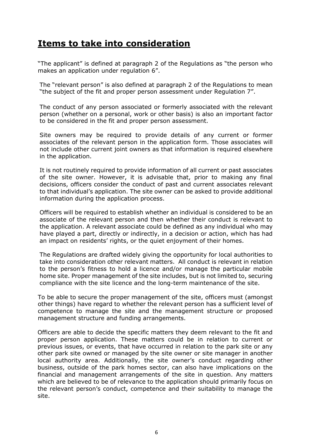## <span id="page-5-0"></span>**Items to take into consideration**

"The applicant" is defined at paragraph 2 of the Regulations as "the person who makes an application under regulation 6".

The "relevant person" is also defined at paragraph 2 of the Regulations to mean "the subject of the fit and proper person assessment under Regulation 7".

The conduct of any person associated or formerly associated with the relevant person (whether on a personal, work or other basis) is also an important factor to be considered in the fit and proper person assessment.

Site owners may be required to provide details of any current or former associates of the relevant person in the application form. Those associates will not include other current joint owners as that information is required elsewhere in the application.

It is not routinely required to provide information of all current or past associates of the site owner. However, it is advisable that, prior to making any final decisions, officers consider the conduct of past and current associates relevant to that individual's application. The site owner can be asked to provide additional information during the application process.

Officers will be required to establish whether an individual is considered to be an associate of the relevant person and then whether their conduct is relevant to the application. A relevant associate could be defined as any individual who may have played a part, directly or indirectly, in a decision or action, which has had an impact on residents' rights, or the quiet enjoyment of their homes.

The Regulations are drafted widely giving the opportunity for local authorities to take into consideration other relevant matters. All conduct is relevant in relation to the person's fitness to hold a licence and/or manage the particular mobile home site. Proper management of the site includes, but is not limited to, securing compliance with the site licence and the long-term maintenance of the site.

To be able to secure the proper management of the site, officers must (amongst other things) have regard to whether the relevant person has a sufficient level of competence to manage the site and the management structure or proposed management structure and funding arrangements.

Officers are able to decide the specific matters they deem relevant to the fit and proper person application. These matters could be in relation to current or previous issues, or events, that have occurred in relation to the park site or any other park site owned or managed by the site owner or site manager in another local authority area. Additionally, the site owner's conduct regarding other business, outside of the park homes sector, can also have implications on the financial and management arrangements of the site in question. Any matters which are believed to be of relevance to the application should primarily focus on the relevant person's conduct, competence and their suitability to manage the site.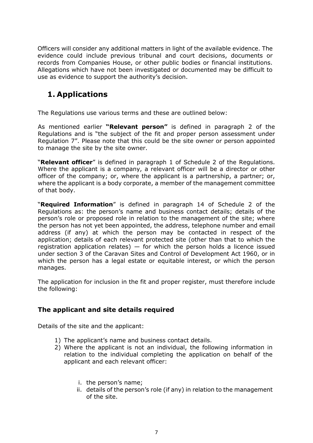Officers will consider any additional matters in light of the available evidence. The evidence could include previous tribunal and court decisions, documents or records from Companies House, or other public bodies or financial institutions. Allegations which have not been investigated or documented may be difficult to use as evidence to support the authority's decision.

### <span id="page-6-0"></span>**1. Applications**

The Regulations use various terms and these are outlined below:

As mentioned earlier **"Relevant person"** is defined in paragraph 2 of the Regulations and is "the subject of the fit and proper person assessment under Regulation 7". Please note that this could be the site owner or person appointed to manage the site by the site owner.

"**Relevant officer**" is defined in paragraph 1 of Schedule 2 of the Regulations. Where the applicant is a company, a relevant officer will be a director or other officer of the company; or, where the applicant is a partnership, a partner; or, where the applicant is a body corporate, a member of the management committee of that body.

"**Required Information**" is defined in paragraph 14 of Schedule 2 of the Regulations as: the person's name and business contact details; details of the person's role or proposed role in relation to the management of the site; where the person has not yet been appointed, the address, telephone number and email address (if any) at which the person may be contacted in respect of the application; details of each relevant protected site (other than that to which the registration application relates)  $-$  for which the person holds a licence issued under section 3 of the Caravan Sites and Control of Development Act 1960, or in which the person has a legal estate or equitable interest, or which the person manages.

The application for inclusion in the fit and proper register, must therefore include the following:

#### **The applicant and site details required**

Details of the site and the applicant:

- 1) The applicant's name and business contact details.
- 2) Where the applicant is not an individual, the following information in relation to the individual completing the application on behalf of the applicant and each relevant officer:
	- i. the person's name;
	- ii. details of the person's role (if any) in relation to the management of the site.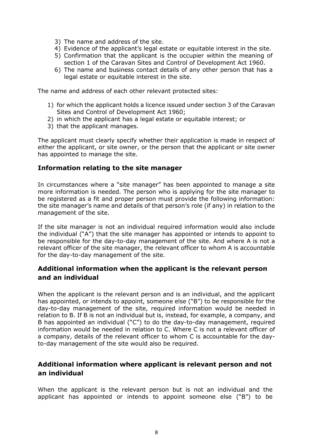- 3) The name and address of the site.
- 4) Evidence of the applicant's legal estate or equitable interest in the site.
- 5) Confirmation that the applicant is the occupier within the meaning of section 1 of the Caravan Sites and Control of Development Act 1960.
- 6) The name and business contact details of any other person that has a legal estate or equitable interest in the site.

The name and address of each other relevant protected sites:

- 1) for which the applicant holds a licence issued under section 3 of the Caravan Sites and Control of Development Act 1960;
- 2) in which the applicant has a legal estate or equitable interest; or
- 3) that the applicant manages.

The applicant must clearly specify whether their application is made in respect of either the applicant, or site owner, or the person that the applicant or site owner has appointed to manage the site.

#### **Information relating to the site manager**

In circumstances where a "site manager" has been appointed to manage a site more information is needed. The person who is applying for the site manager to be registered as a fit and proper person must provide the following information: the site manager's name and details of that person's role (if any) in relation to the management of the site.

If the site manager is not an individual required information would also include the individual ("A") that the site manager has appointed or intends to appoint to be responsible for the day-to-day management of the site. And where A is not a relevant officer of the site manager, the relevant officer to whom A is accountable for the day-to-day management of the site.

#### **Additional information when the applicant is the relevant person and an individual**

When the applicant is the relevant person and is an individual, and the applicant has appointed, or intends to appoint, someone else ("B") to be responsible for the day-to-day management of the site, required information would be needed in relation to B. If B is not an individual but is, instead, for example, a company, and B has appointed an individual ("C") to do the day-to-day management, required information would be needed in relation to C. Where C is not a relevant officer of a company, details of the relevant officer to whom C is accountable for the dayto-day management of the site would also be required.

#### **Additional information where applicant is relevant person and not an individual**

When the applicant is the relevant person but is not an individual and the applicant has appointed or intends to appoint someone else ("B") to be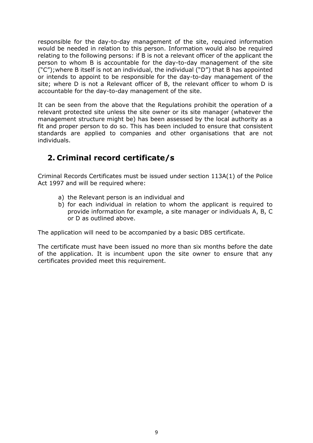responsible for the day-to-day management of the site, required information would be needed in relation to this person. Information would also be required relating to the following persons: if B is not a relevant officer of the applicant the person to whom B is accountable for the day-to-day management of the site ("C");where B itself is not an individual, the individual ("D") that B has appointed or intends to appoint to be responsible for the day-to-day management of the site; where D is not a Relevant officer of B, the relevant officer to whom D is accountable for the day-to-day management of the site.

It can be seen from the above that the Regulations prohibit the operation of a relevant protected site unless the site owner or its site manager (whatever the management structure might be) has been assessed by the local authority as a fit and proper person to do so. This has been included to ensure that consistent standards are applied to companies and other organisations that are not individuals.

## <span id="page-8-0"></span>**2. Criminal record certificate/s**

Criminal Records Certificates must be issued under section 113A(1) of the Police Act 1997 and will be required where:

- a) the Relevant person is an individual and
- b) for each individual in relation to whom the applicant is required to provide information for example, a site manager or individuals A, B, C or D as outlined above.

The application will need to be accompanied by a basic DBS certificate.

The certificate must have been issued no more than six months before the date of the application. It is incumbent upon the site owner to ensure that any certificates provided meet this requirement.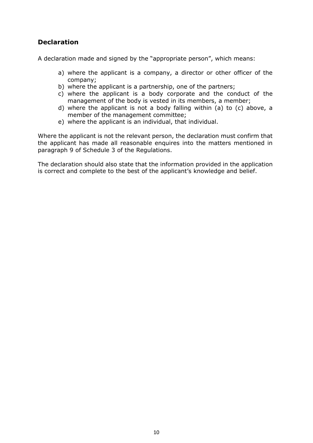#### **Declaration**

A declaration made and signed by the "appropriate person", which means:

- a) where the applicant is a company, a director or other officer of the company;
- b) where the applicant is a partnership, one of the partners;
- c) where the applicant is a body corporate and the conduct of the management of the body is vested in its members, a member;
- d) where the applicant is not a body falling within (a) to (c) above, a member of the management committee;
- e) where the applicant is an individual, that individual.

Where the applicant is not the relevant person, the declaration must confirm that the applicant has made all reasonable enquires into the matters mentioned in paragraph 9 of Schedule 3 of the Regulations.

The declaration should also state that the information provided in the application is correct and complete to the best of the applicant's knowledge and belief.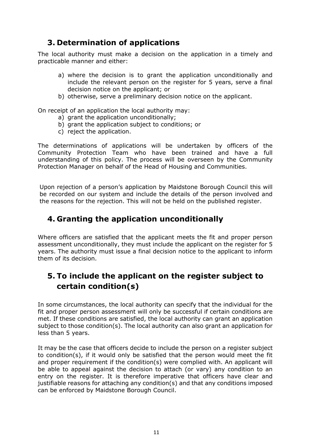## <span id="page-10-0"></span>**3. Determination of applications**

The local authority must make a decision on the application in a timely and practicable manner and either:

- a) where the decision is to grant the application unconditionally and include the relevant person on the register for 5 years, serve a final decision notice on the applicant; or
- b) otherwise, serve a preliminary decision notice on the applicant.

On receipt of an application the local authority may:

- a) grant the application unconditionally;
- b) grant the application subject to conditions; or
- c) reject the application.

The determinations of applications will be undertaken by officers of the Community Protection Team who have been trained and have a full understanding of this policy. The process will be overseen by the Community Protection Manager on behalf of the Head of Housing and Communities.

Upon rejection of a person's application by Maidstone Borough Council this will be recorded on our system and include the details of the person involved and the reasons for the rejection. This will not be held on the published register.

## <span id="page-10-1"></span>**4. Granting the application unconditionally**

Where officers are satisfied that the applicant meets the fit and proper person assessment unconditionally, they must include the applicant on the register for 5 years. The authority must issue a final decision notice to the applicant to inform them of its decision.

## <span id="page-10-2"></span>**5. To include the applicant on the register subject to certain condition(s)**

In some circumstances, the local authority can specify that the individual for the fit and proper person assessment will only be successful if certain conditions are met. If these conditions are satisfied, the local authority can grant an application subject to those condition(s). The local authority can also grant an application for less than 5 years.

It may be the case that officers decide to include the person on a register subject to condition(s), if it would only be satisfied that the person would meet the fit and proper requirement if the condition(s) were complied with. An applicant will be able to appeal against the decision to attach (or vary) any condition to an entry on the register. It is therefore imperative that officers have clear and justifiable reasons for attaching any condition(s) and that any conditions imposed can be enforced by Maidstone Borough Council.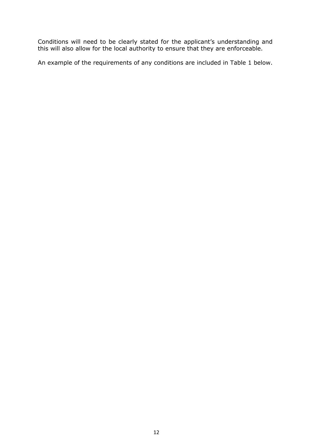Conditions will need to be clearly stated for the applicant's understanding and this will also allow for the local authority to ensure that they are enforceable.

An example of the requirements of any conditions are included in Table 1 below.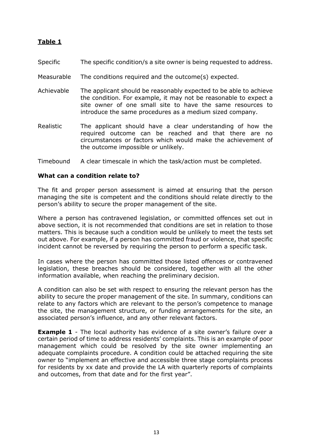#### **Table 1**

- Specific The specific condition/s a site owner is being requested to address.
- Measurable The conditions required and the outcome(s) expected.
- Achievable The applicant should be reasonably expected to be able to achieve the condition. For example, it may not be reasonable to expect a site owner of one small site to have the same resources to introduce the same procedures as a medium sized company.
- Realistic The applicant should have a clear understanding of how the required outcome can be reached and that there are no circumstances or factors which would make the achievement of the outcome impossible or unlikely.
- Timebound A clear timescale in which the task/action must be completed.

#### **What can a condition relate to?**

The fit and proper person assessment is aimed at ensuring that the person managing the site is competent and the conditions should relate directly to the person's ability to secure the proper management of the site.

Where a person has contravened legislation, or committed offences set out in above section, it is not recommended that conditions are set in relation to those matters. This is because such a condition would be unlikely to meet the tests set out above. For example, if a person has committed fraud or violence, that specific incident cannot be reversed by requiring the person to perform a specific task.

In cases where the person has committed those listed offences or contravened legislation, these breaches should be considered, together with all the other information available, when reaching the preliminary decision.

A condition can also be set with respect to ensuring the relevant person has the ability to secure the proper management of the site. In summary, conditions can relate to any factors which are relevant to the person's competence to manage the site, the management structure, or funding arrangements for the site, an associated person's influence, and any other relevant factors.

**Example 1** - The local authority has evidence of a site owner's failure over a certain period of time to address residents' complaints. This is an example of poor management which could be resolved by the site owner implementing an adequate complaints procedure. A condition could be attached requiring the site owner to "implement an effective and accessible three stage complaints process for residents by xx date and provide the LA with quarterly reports of complaints and outcomes, from that date and for the first year".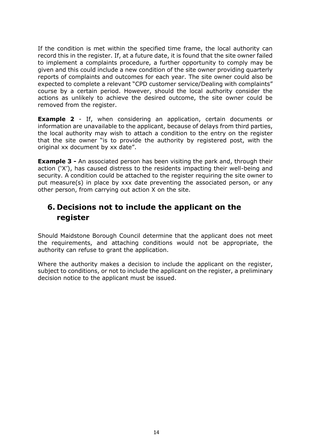If the condition is met within the specified time frame, the local authority can record this in the register. If, at a future date, it is found that the site owner failed to implement a complaints procedure, a further opportunity to comply may be given and this could include a new condition of the site owner providing quarterly reports of complaints and outcomes for each year. The site owner could also be expected to complete a relevant "CPD customer service/Dealing with complaints" course by a certain period. However, should the local authority consider the actions as unlikely to achieve the desired outcome, the site owner could be removed from the register.

**Example 2** - If, when considering an application, certain documents or information are unavailable to the applicant, because of delays from third parties, the local authority may wish to attach a condition to the entry on the register that the site owner "is to provide the authority by registered post, with the original xx document by xx date".

**Example 3 -** An associated person has been visiting the park and, through their action ('X'), has caused distress to the residents impacting their well-being and security. A condition could be attached to the register requiring the site owner to put measure(s) in place by xxx date preventing the associated person, or any other person, from carrying out action X on the site.

## <span id="page-13-0"></span>**6. Decisions not to include the applicant on the register**

Should Maidstone Borough Council determine that the applicant does not meet the requirements, and attaching conditions would not be appropriate, the authority can refuse to grant the application.

Where the authority makes a decision to include the applicant on the register, subject to conditions, or not to include the applicant on the register, a preliminary decision notice to the applicant must be issued.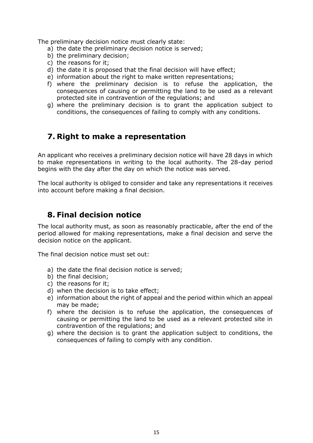The preliminary decision notice must clearly state:

- a) the date the preliminary decision notice is served;
- b) the preliminary decision;
- c) the reasons for it;
- d) the date it is proposed that the final decision will have effect;
- e) information about the right to make written representations;
- f) where the preliminary decision is to refuse the application, the consequences of causing or permitting the land to be used as a relevant protected site in contravention of the regulations; and
- g) where the preliminary decision is to grant the application subject to conditions, the consequences of failing to comply with any conditions.

#### <span id="page-14-0"></span>**7. Right to make a representation**

An applicant who receives a preliminary decision notice will have 28 days in which to make representations in writing to the local authority. The 28-day period begins with the day after the day on which the notice was served.

The local authority is obliged to consider and take any representations it receives into account before making a final decision.

#### <span id="page-14-1"></span>**8. Final decision notice**

The local authority must, as soon as reasonably practicable, after the end of the period allowed for making representations, make a final decision and serve the decision notice on the applicant.

The final decision notice must set out:

- a) the date the final decision notice is served;
- b) the final decision;
- c) the reasons for it;
- d) when the decision is to take effect;
- e) information about the right of appeal and the period within which an appeal may be made;
- f) where the decision is to refuse the application, the consequences of causing or permitting the land to be used as a relevant protected site in contravention of the regulations; and
- g) where the decision is to grant the application subject to conditions, the consequences of failing to comply with any condition.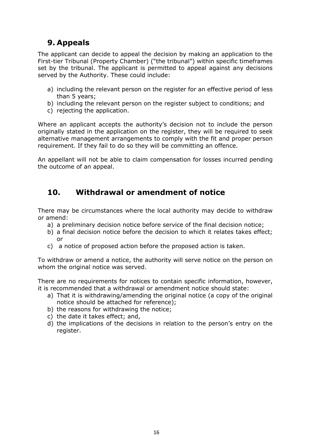## <span id="page-15-0"></span>**9. Appeals**

The applicant can decide to appeal the decision by making an application to the First-tier Tribunal (Property Chamber) ("the tribunal") within specific timeframes set by the tribunal. The applicant is permitted to appeal against any decisions served by the Authority. These could include:

- a) including the relevant person on the register for an effective period of less than 5 years;
- b) including the relevant person on the register subject to conditions; and
- c) rejecting the application.

Where an applicant accepts the authority's decision not to include the person originally stated in the application on the register, they will be required to seek alternative management arrangements to comply with the fit and proper person requirement. If they fail to do so they will be committing an offence.

An appellant will not be able to claim compensation for losses incurred pending the outcome of an appeal.

#### <span id="page-15-1"></span>**10. Withdrawal or amendment of notice**

There may be circumstances where the local authority may decide to withdraw or amend:

- a) a preliminary decision notice before service of the final decision notice;
- b) a final decision notice before the decision to which it relates takes effect; or
- c) a notice of proposed action before the proposed action is taken.

To withdraw or amend a notice, the authority will serve notice on the person on whom the original notice was served.

There are no requirements for notices to contain specific information, however, it is recommended that a withdrawal or amendment notice should state:

- a) That it is withdrawing/amending the original notice (a copy of the original notice should be attached for reference);
- b) the reasons for withdrawing the notice;
- c) the date it takes effect; and,
- d) the implications of the decisions in relation to the person's entry on the register.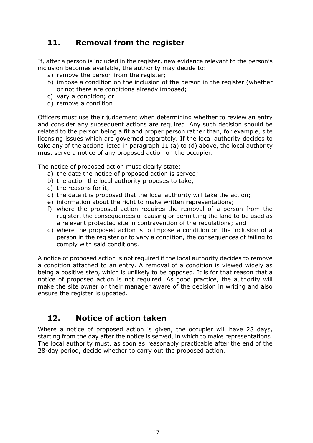## <span id="page-16-0"></span>**11. Removal from the register**

If, after a person is included in the register, new evidence relevant to the person's inclusion becomes available, the authority may decide to:

- a) remove the person from the register;
- b) impose a condition on the inclusion of the person in the register (whether or not there are conditions already imposed;
- c) vary a condition; or
- d) remove a condition.

Officers must use their judgement when determining whether to review an entry and consider any subsequent actions are required. Any such decision should be related to the person being a fit and proper person rather than, for example, site licensing issues which are governed separately. If the local authority decides to take any of the actions listed in paragraph 11 (a) to (d) above, the local authority must serve a notice of any proposed action on the occupier.

The notice of proposed action must clearly state:

- a) the date the notice of proposed action is served;
- b) the action the local authority proposes to take;
- c) the reasons for it;
- d) the date it is proposed that the local authority will take the action;
- e) information about the right to make written representations;
- f) where the proposed action requires the removal of a person from the register, the consequences of causing or permitting the land to be used as a relevant protected site in contravention of the regulations; and
- g) where the proposed action is to impose a condition on the inclusion of a person in the register or to vary a condition, the consequences of failing to comply with said conditions.

A notice of proposed action is not required if the local authority decides to remove a condition attached to an entry. A removal of a condition is viewed widely as being a positive step, which is unlikely to be opposed. It is for that reason that a notice of proposed action is not required. As good practice, the authority will make the site owner or their manager aware of the decision in writing and also ensure the register is updated.

#### <span id="page-16-1"></span>**12. Notice of action taken**

Where a notice of proposed action is given, the occupier will have 28 days, starting from the day after the notice is served, in which to make representations. The local authority must, as soon as reasonably practicable after the end of the 28-day period, decide whether to carry out the proposed action.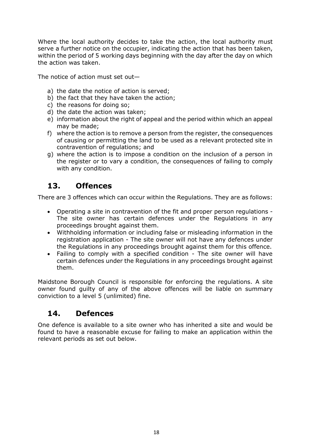Where the local authority decides to take the action, the local authority must serve a further notice on the occupier, indicating the action that has been taken, within the period of 5 working days beginning with the day after the day on which the action was taken.

The notice of action must set out—

- a) the date the notice of action is served;
- b) the fact that they have taken the action;
- c) the reasons for doing so;
- d) the date the action was taken;
- e) information about the right of appeal and the period within which an appeal may be made;
- f) where the action is to remove a person from the register, the consequences of causing or permitting the land to be used as a relevant protected site in contravention of regulations; and
- g) where the action is to impose a condition on the inclusion of a person in the register or to vary a condition, the consequences of failing to comply with any condition.

### <span id="page-17-0"></span>**13. Offences**

There are 3 offences which can occur within the Regulations. They are as follows:

- Operating a site in contravention of the fit and proper person regulations The site owner has certain defences under the Regulations in any proceedings brought against them.
- Withholding information or including false or misleading information in the registration application - The site owner will not have any defences under the Regulations in any proceedings brought against them for this offence.
- Failing to comply with a specified condition The site owner will have certain defences under the Regulations in any proceedings brought against them.

Maidstone Borough Council is responsible for enforcing the regulations. A site owner found guilty of any of the above offences will be liable on summary conviction to a level 5 (unlimited) fine.

## <span id="page-17-1"></span>**14. Defences**

One defence is available to a site owner who has inherited a site and would be found to have a reasonable excuse for failing to make an application within the relevant periods as set out below.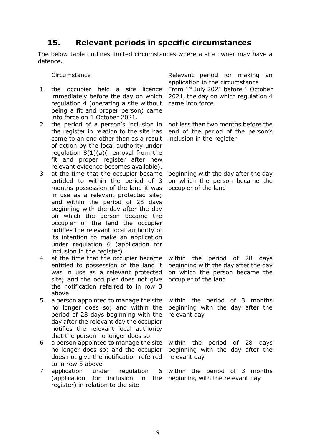### <span id="page-18-0"></span>**15. Relevant periods in specific circumstances**

The below table outlines limited circumstances where a site owner may have a defence.

- 1 the occupier held a site licence immediately before the day on which regulation 4 (operating a site without being a fit and proper person) came into force on 1 October 2021.
- 2 the period of a person's inclusion in the register in relation to the site has come to an end other than as a result of action by the local authority under regulation 8(1)(a)( removal from the fit and proper register after new relevant evidence becomes available).
- 3 at the time that the occupier became entitled to within the period of 3 months possession of the land it was in use as a relevant protected site; and within the period of 28 days beginning with the day after the day on which the person became the occupier of the land the occupier notifies the relevant local authority of its intention to make an application under regulation 6 (application for inclusion in the register)
- 4 at the time that the occupier became entitled to possession of the land it was in use as a relevant protected site; and the occupier does not give the notification referred to in row 3 above
- 5 a person appointed to manage the site no longer does so; and within the period of 28 days beginning with the day after the relevant day the occupier notifies the relevant local authority that the person no longer does so
- 6 a person appointed to manage the site within the period of 28 days no longer does so; and the occupier does not give the notification referred relevant day to in row 5 above
- 7 application under regulation (application for inclusion in the beginning with the relevant dayregister) in relation to the site

Circumstance and Relevant period for making an application in the circumstance From 1st July 2021 before 1 October 2021, the day on which regulation 4 came into force

> not less than two months before the end of the period of the person's inclusion in the register

> beginning with the day after the day on which the person became the occupier of the land

> within the period of 28 days beginning with the day after the day on which the person became the occupier of the land

> within the period of 3 months beginning with the day after the relevant day

> beginning with the day after the

within the period of 3 months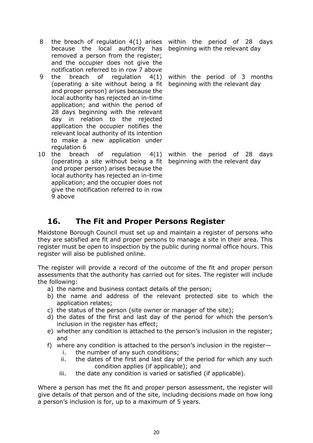- 8 the breach of regulation 4(1) arises within the period of 28 days because the local authority has beginning with the relevant day removed a person from the register; and the occupier does not give the notification referred to in row 7 above
- 9 the breach of regulation 4(1) (operating a site without being a fit and proper person) arises because the local authority has rejected an in-time application; and within the period of 28 days beginning with the relevant day in relation to the rejected application the occupier notifies the relevant local authority of its intention to make a new application under regulation 6
- 10 the breach of regulation 4(1) (operating a site without being a fit beginning with the relevant day and proper person) arises because the local authority has rejected an in-time application; and the occupier does not give the notification referred to in row 9 above

within the period of 3 months beginning with the relevant day

within the period of 28 days

## <span id="page-19-0"></span>**16. The Fit and Proper Persons Register**

Maidstone Borough Council must set up and maintain a register of persons who they are satisfied are fit and proper persons to manage a site in their area. This register must be open to inspection by the public during normal office hours. This register will also be published online.

The register will provide a record of the outcome of the fit and proper person assessments that the authority has carried out for sites. The register will include the following:

- a) the name and business contact details of the person;
- b) the name and address of the relevant protected site to which the application relates;
- c) the status of the person (site owner or manager of the site);
- d) the dates of the first and last day of the period for which the person's inclusion in the register has effect;
- e) whether any condition is attached to the person's inclusion in the register; and
- f) where any condition is attached to the person's inclusion in the register
	- i. the number of any such conditions;
	- ii. the dates of the first and last day of the period for which any such condition applies (if applicable); and
	- iii. the date any condition is varied or satisfied (if applicable).

Where a person has met the fit and proper person assessment, the register will give details of that person and of the site, including decisions made on how long a person's inclusion is for, up to a maximum of 5 years.